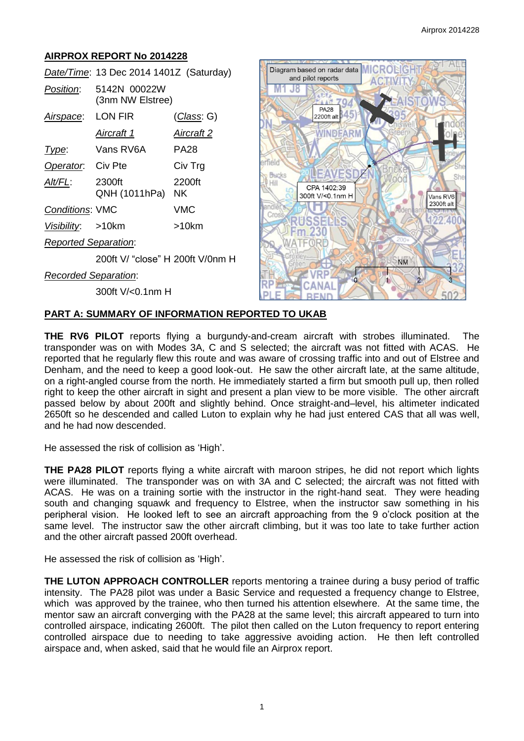# **AIRPROX REPORT No 2014228**

|                             | Date/Time: 13 Dec 2014 1401Z (Saturday) |                   |
|-----------------------------|-----------------------------------------|-------------------|
| <i>Position</i> :           | 5142N 00022W<br>(3nm NW Elstree)        |                   |
| Airspace:                   | LON FIR                                 | (Class: G)        |
|                             | <u>Aircraft 1</u>                       | <u>Aircraft 2</u> |
| Type:                       | Vans RV6A                               | PA28              |
| Operator. Civ Pte           |                                         | Civ Trg           |
| Alt/FL:                     | 2300ft<br>QNH (1011hPa)                 | 2200ft<br>NK.     |
| <b>Conditions: VMC</b>      |                                         | VMC               |
| Visibility: >10km           |                                         | >10km             |
| <b>Reported Separation:</b> |                                         |                   |
|                             | 200ft V/ "close" H 200ft V/0nm H        |                   |
| <b>Recorded Separation:</b> |                                         |                   |
|                             | 300ft V/<0.1nm H                        |                   |



#### **PART A: SUMMARY OF INFORMATION REPORTED TO UKAB**

**THE RV6 PILOT** reports flying a burgundy-and-cream aircraft with strobes illuminated. The transponder was on with Modes 3A, C and S selected; the aircraft was not fitted with ACAS. He reported that he regularly flew this route and was aware of crossing traffic into and out of Elstree and Denham, and the need to keep a good look-out. He saw the other aircraft late, at the same altitude, on a right-angled course from the north. He immediately started a firm but smooth pull up, then rolled right to keep the other aircraft in sight and present a plan view to be more visible. The other aircraft passed below by about 200ft and slightly behind. Once straight-and–level, his altimeter indicated 2650ft so he descended and called Luton to explain why he had just entered CAS that all was well, and he had now descended.

He assessed the risk of collision as 'High'.

**THE PA28 PILOT** reports flying a white aircraft with maroon stripes, he did not report which lights were illuminated. The transponder was on with 3A and C selected; the aircraft was not fitted with ACAS. He was on a training sortie with the instructor in the right-hand seat. They were heading south and changing squawk and frequency to Elstree, when the instructor saw something in his peripheral vision. He looked left to see an aircraft approaching from the 9 o'clock position at the same level. The instructor saw the other aircraft climbing, but it was too late to take further action and the other aircraft passed 200ft overhead.

He assessed the risk of collision as 'High'.

**THE LUTON APPROACH CONTROLLER** reports mentoring a trainee during a busy period of traffic intensity. The PA28 pilot was under a Basic Service and requested a frequency change to Elstree, which was approved by the trainee, who then turned his attention elsewhere. At the same time, the mentor saw an aircraft converging with the PA28 at the same level; this aircraft appeared to turn into controlled airspace, indicating 2600ft. The pilot then called on the Luton frequency to report entering controlled airspace due to needing to take aggressive avoiding action. He then left controlled airspace and, when asked, said that he would file an Airprox report.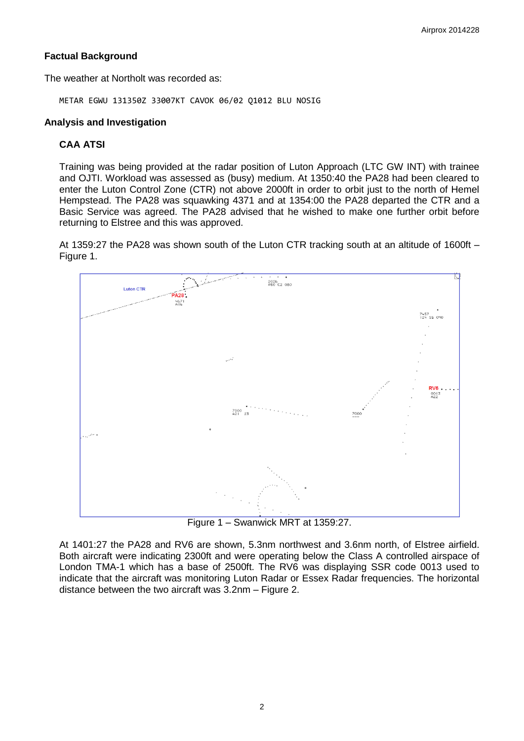# **Factual Background**

The weather at Northolt was recorded as:

METAR EGWU 131350Z 33007KT CAVOK 06/02 Q1012 BLU NOSIG

## **Analysis and Investigation**

## **CAA ATSI**

Training was being provided at the radar position of Luton Approach (LTC GW INT) with trainee and OJTI. Workload was assessed as (busy) medium. At 1350:40 the PA28 had been cleared to enter the Luton Control Zone (CTR) not above 2000ft in order to orbit just to the north of Hemel Hempstead. The PA28 was squawking 4371 and at 1354:00 the PA28 departed the CTR and a Basic Service was agreed. The PA28 advised that he wished to make one further orbit before returning to Elstree and this was approved.

At 1359:27 the PA28 was shown south of the Luton CTR tracking south at an altitude of 1600ft – Figure 1.



Figure 1 – Swanwick MRT at 1359:27.

At 1401:27 the PA28 and RV6 are shown, 5.3nm northwest and 3.6nm north, of Elstree airfield. Both aircraft were indicating 2300ft and were operating below the Class A controlled airspace of London TMA-1 which has a base of 2500ft. The RV6 was displaying SSR code 0013 used to indicate that the aircraft was monitoring Luton Radar or Essex Radar frequencies. The horizontal distance between the two aircraft was 3.2nm – Figure 2.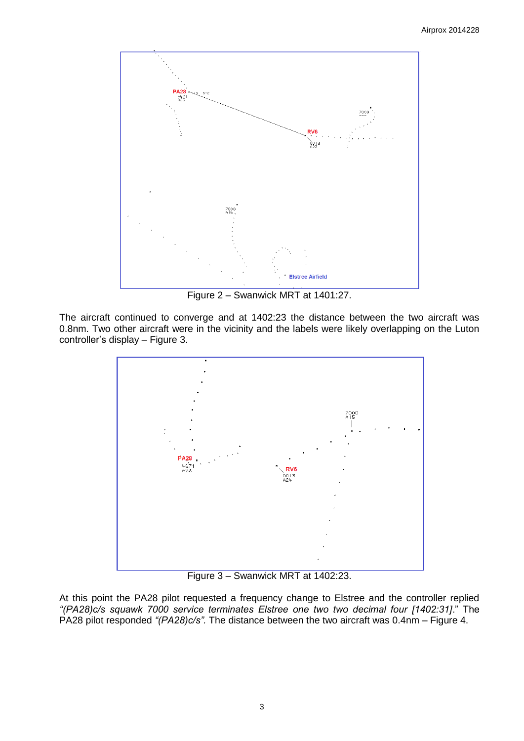

Figure 2 – Swanwick MRT at 1401:27.

The aircraft continued to converge and at 1402:23 the distance between the two aircraft was 0.8nm. Two other aircraft were in the vicinity and the labels were likely overlapping on the Luton controller's display – Figure 3.



Figure 3 – Swanwick MRT at 1402:23.

At this point the PA28 pilot requested a frequency change to Elstree and the controller replied *"(PA28)c/s squawk 7000 service terminates Elstree one two two decimal four [1402:31]*." The PA28 pilot responded *"(PA28)c/s".* The distance between the two aircraft was 0.4nm – Figure 4.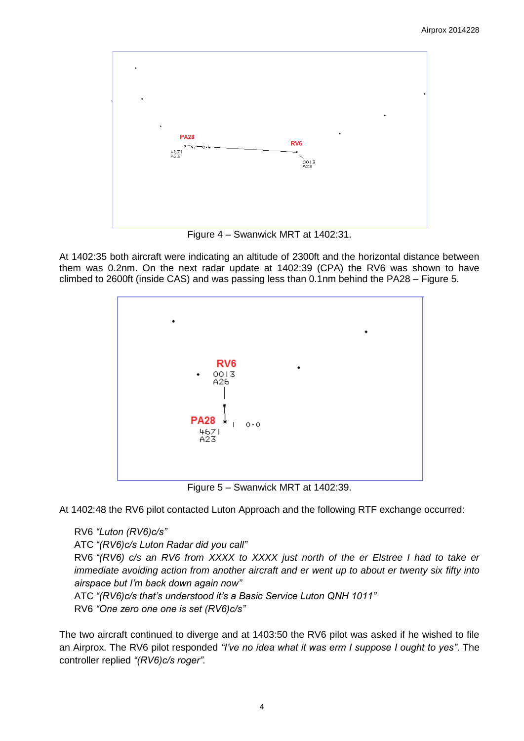

Figure 4 – Swanwick MRT at 1402:31.

At 1402:35 both aircraft were indicating an altitude of 2300ft and the horizontal distance between them was 0.2nm. On the next radar update at 1402:39 (CPA) the RV6 was shown to have climbed to 2600ft (inside CAS) and was passing less than 0.1nm behind the PA28 – Figure 5.



Figure 5 – Swanwick MRT at 1402:39.

At 1402:48 the RV6 pilot contacted Luton Approach and the following RTF exchange occurred:

RV6 *"Luton (RV6)c/s"* ATC *"(RV6)c/s Luton Radar did you call"* RV6 *"(RV6) c/s an RV6 from XXXX to XXXX just north of the er Elstree I had to take er immediate avoiding action from another aircraft and er went up to about er twenty six fifty into airspace but I'm back down again now"*

ATC *"(RV6)c/s that's understood it's a Basic Service Luton QNH 1011"*

RV6 *"One zero one one is set (RV6)c/s"*

The two aircraft continued to diverge and at 1403:50 the RV6 pilot was asked if he wished to file an Airprox. The RV6 pilot responded *"I've no idea what it was erm I suppose I ought to yes"*. The controller replied *"(RV6)c/s roger".*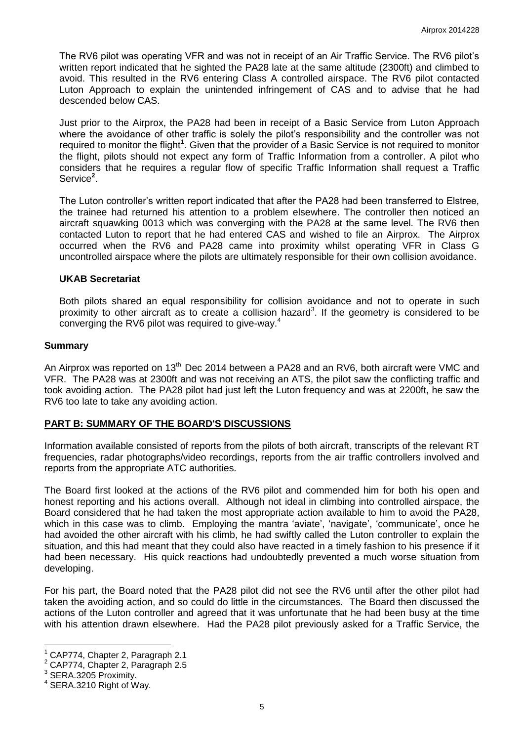The RV6 pilot was operating VFR and was not in receipt of an Air Traffic Service. The RV6 pilot's written report indicated that he sighted the PA28 late at the same altitude (2300ft) and climbed to avoid. This resulted in the RV6 entering Class A controlled airspace. The RV6 pilot contacted Luton Approach to explain the unintended infringement of CAS and to advise that he had descended below CAS.

Just prior to the Airprox, the PA28 had been in receipt of a Basic Service from Luton Approach where the avoidance of other traffic is solely the pilot's responsibility and the controller was not required to monitor the flight<sup>1</sup>. Given that the provider of a Basic Service is not required to monitor the flight, pilots should not expect any form of Traffic Information from a controller. A pilot who considers that he requires a regular flow of specific Traffic Information shall request a Traffic Service<sup>2</sup>.

The Luton controller's written report indicated that after the PA28 had been transferred to Elstree, the trainee had returned his attention to a problem elsewhere. The controller then noticed an aircraft squawking 0013 which was converging with the PA28 at the same level. The RV6 then contacted Luton to report that he had entered CAS and wished to file an Airprox. The Airprox occurred when the RV6 and PA28 came into proximity whilst operating VFR in Class G uncontrolled airspace where the pilots are ultimately responsible for their own collision avoidance.

### **UKAB Secretariat**

Both pilots shared an equal responsibility for collision avoidance and not to operate in such proximity to other aircraft as to create a collision hazard<sup>3</sup>. If the geometry is considered to be converging the RV6 pilot was required to give-way.<sup>4</sup>

### **Summary**

An Airprox was reported on 13<sup>th</sup> Dec 2014 between a PA28 and an RV6, both aircraft were VMC and VFR. The PA28 was at 2300ft and was not receiving an ATS, the pilot saw the conflicting traffic and took avoiding action. The PA28 pilot had just left the Luton frequency and was at 2200ft, he saw the RV6 too late to take any avoiding action.

#### **PART B: SUMMARY OF THE BOARD'S DISCUSSIONS**

Information available consisted of reports from the pilots of both aircraft, transcripts of the relevant RT frequencies, radar photographs/video recordings, reports from the air traffic controllers involved and reports from the appropriate ATC authorities.

The Board first looked at the actions of the RV6 pilot and commended him for both his open and honest reporting and his actions overall. Although not ideal in climbing into controlled airspace, the Board considered that he had taken the most appropriate action available to him to avoid the PA28, which in this case was to climb. Employing the mantra 'aviate', 'navigate', 'communicate', once he had avoided the other aircraft with his climb, he had swiftly called the Luton controller to explain the situation, and this had meant that they could also have reacted in a timely fashion to his presence if it had been necessary. His quick reactions had undoubtedly prevented a much worse situation from developing.

For his part, the Board noted that the PA28 pilot did not see the RV6 until after the other pilot had taken the avoiding action, and so could do little in the circumstances. The Board then discussed the actions of the Luton controller and agreed that it was unfortunate that he had been busy at the time with his attention drawn elsewhere. Had the PA28 pilot previously asked for a Traffic Service, the

 $\overline{a}$ 

 $<sup>1</sup>$  CAP774, Chapter 2, Paragraph 2.1</sup>

<sup>2</sup> CAP774, Chapter 2, Paragraph 2.5

<sup>&</sup>lt;sup>3</sup> SERA.3205 Proximity.

<sup>4</sup> SERA.3210 Right of Way.